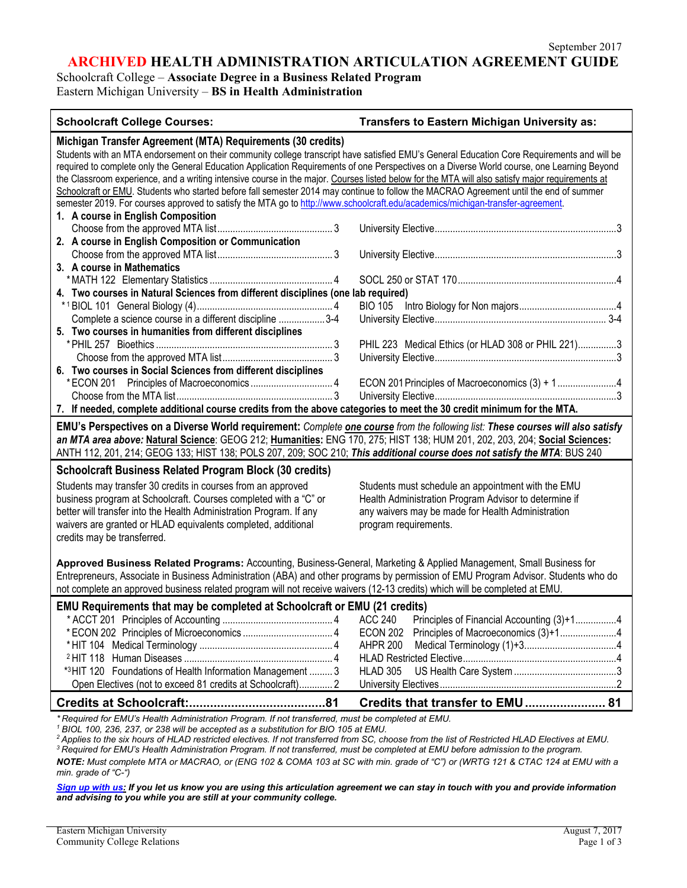**ARCHIVED HEALTH ADMINISTRATION ARTICULATION AGREEMENT GUIDE**

Schoolcraft College – **Associate Degree in a Business Related Program**

Eastern Michigan University – **BS in Health Administration**

| <b>Schoolcraft College Courses:</b>                                                                                                                                                                                                                                                                                                                                                                                                                                                                                                                                                                                                                                                                                                                                                      | Transfers to Eastern Michigan University as:                                                                                                                                              |  |
|------------------------------------------------------------------------------------------------------------------------------------------------------------------------------------------------------------------------------------------------------------------------------------------------------------------------------------------------------------------------------------------------------------------------------------------------------------------------------------------------------------------------------------------------------------------------------------------------------------------------------------------------------------------------------------------------------------------------------------------------------------------------------------------|-------------------------------------------------------------------------------------------------------------------------------------------------------------------------------------------|--|
| Michigan Transfer Agreement (MTA) Requirements (30 credits)<br>Students with an MTA endorsement on their community college transcript have satisfied EMU's General Education Core Requirements and will be<br>required to complete only the General Education Application Requirements of one Perspectives on a Diverse World course, one Learning Beyond<br>the Classroom experience, and a writing intensive course in the major. Courses listed below for the MTA will also satisfy major requirements at<br>Schoolcraft or EMU. Students who started before fall semester 2014 may continue to follow the MACRAO Agreement until the end of summer<br>semester 2019. For courses approved to satisfy the MTA go to http://www.schoolcraft.edu/academics/michigan-transfer-agreement. |                                                                                                                                                                                           |  |
| 1. A course in English Composition                                                                                                                                                                                                                                                                                                                                                                                                                                                                                                                                                                                                                                                                                                                                                       |                                                                                                                                                                                           |  |
| 2. A course in English Composition or Communication                                                                                                                                                                                                                                                                                                                                                                                                                                                                                                                                                                                                                                                                                                                                      |                                                                                                                                                                                           |  |
| 3. A course in Mathematics                                                                                                                                                                                                                                                                                                                                                                                                                                                                                                                                                                                                                                                                                                                                                               |                                                                                                                                                                                           |  |
| 4. Two courses in Natural Sciences from different disciplines (one lab required)<br>Complete a science course in a different discipline  3-4                                                                                                                                                                                                                                                                                                                                                                                                                                                                                                                                                                                                                                             | <b>BIO 105</b>                                                                                                                                                                            |  |
| 5. Two courses in humanities from different disciplines                                                                                                                                                                                                                                                                                                                                                                                                                                                                                                                                                                                                                                                                                                                                  | PHIL 223 Medical Ethics (or HLAD 308 or PHIL 221)3                                                                                                                                        |  |
| 6. Two courses in Social Sciences from different disciplines                                                                                                                                                                                                                                                                                                                                                                                                                                                                                                                                                                                                                                                                                                                             | ECON 201 Principles of Macroeconomics (3) + 14                                                                                                                                            |  |
| 7. If needed, complete additional course credits from the above categories to meet the 30 credit minimum for the MTA.                                                                                                                                                                                                                                                                                                                                                                                                                                                                                                                                                                                                                                                                    |                                                                                                                                                                                           |  |
| EMU's Perspectives on a Diverse World requirement: Complete one course from the following list: These courses will also satisfy<br>an MTA area above: Natural Science: GEOG 212; Humanities: ENG 170, 275; HIST 138; HUM 201, 202, 203, 204; Social Sciences:<br>ANTH 112, 201, 214; GEOG 133; HIST 138; POLS 207, 209; SOC 210; This additional course does not satisfy the MTA: BUS 240                                                                                                                                                                                                                                                                                                                                                                                                |                                                                                                                                                                                           |  |
| <b>Schoolcraft Business Related Program Block (30 credits)</b><br>Students may transfer 30 credits in courses from an approved<br>business program at Schoolcraft. Courses completed with a "C" or<br>better will transfer into the Health Administration Program. If any<br>waivers are granted or HLAD equivalents completed, additional<br>credits may be transferred.                                                                                                                                                                                                                                                                                                                                                                                                                | Students must schedule an appointment with the EMU<br>Health Administration Program Advisor to determine if<br>any waivers may be made for Health Administration<br>program requirements. |  |
| Approved Business Related Programs: Accounting, Business-General, Marketing & Applied Management, Small Business for<br>Entrepreneurs, Associate in Business Administration (ABA) and other programs by permission of EMU Program Advisor. Students who do<br>not complete an approved business related program will not receive waivers (12-13 credits) which will be completed at EMU.                                                                                                                                                                                                                                                                                                                                                                                                 |                                                                                                                                                                                           |  |
| EMU Requirements that may be completed at Schoolcraft or EMU (21 credits)<br>*3HIT 120 Foundations of Health Information Management  3<br>Open Electives (not to exceed 81 credits at Schoolcraft) 2                                                                                                                                                                                                                                                                                                                                                                                                                                                                                                                                                                                     | <b>ACC 240</b><br>Principles of Financial Accounting (3)+14<br>ECON 202<br><b>AHPR 200</b><br><b>HLAD 305</b>                                                                             |  |
|                                                                                                                                                                                                                                                                                                                                                                                                                                                                                                                                                                                                                                                                                                                                                                                          | Credits that transfer to EMU  81                                                                                                                                                          |  |
| *Required for EMU's Health Administration Program. If not transferred, must be completed at EMU.<br>$^1$ BIOL 100, 236, 237, or 238 will be accepted as a substitution for BIO 105 at EMU.<br><sup>2</sup> Applies to the six hours of HLAD restricted electives. If not transferred from SC, choose from the list of Restricted HLAD Electives at EMU.<br><sup>3</sup> Required for EMU's Health Administration Program. If not transferred, must be completed at EMU before admission to the program.                                                                                                                                                                                                                                                                                  |                                                                                                                                                                                           |  |

*NOTE: Must complete MTA or MACRAO, or (ENG 102 & COMA 103 at SC with min. grade of "C") or (WRTG 121 & CTAC 124 at EMU with a min. grade of "C-")*

*[Sign up with us:](https://www.emich.edu/ccr/articulation-agreements/signup.php) If you let us know you are using this articulation agreement we can stay in touch with you and provide information and advising to you while you are still at your community college.*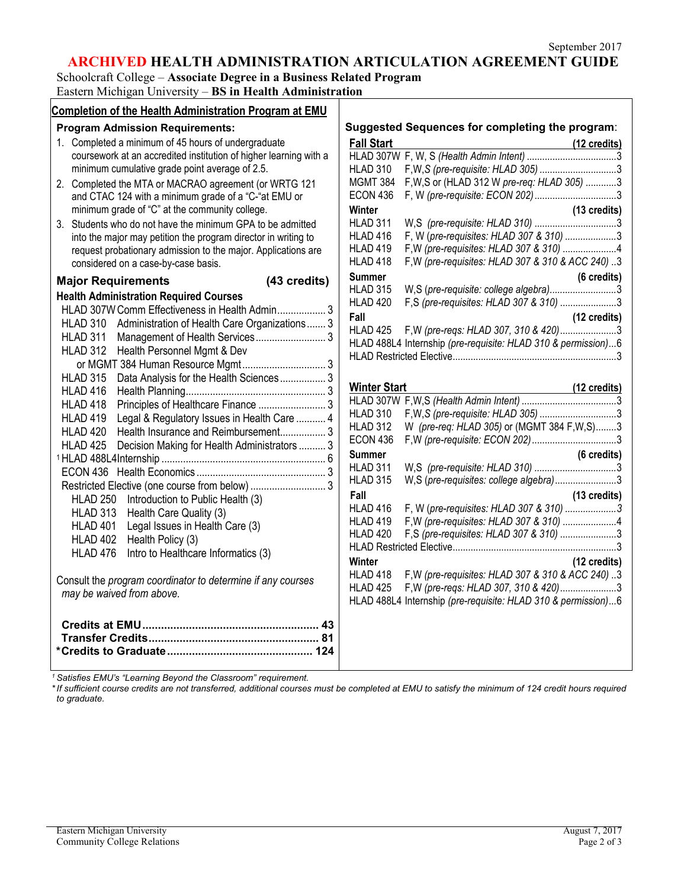# **ARCHIVED HEALTH ADMINISTRATION ARTICULATION AGREEMENT GUIDE**

Schoolcraft College – **Associate Degree in a Business Related Program** Eastern Michigan University – **BS in Health Administration**

| Completion of the Health Administration Program at EMU            |                                                                                                                    |
|-------------------------------------------------------------------|--------------------------------------------------------------------------------------------------------------------|
| <b>Program Admission Requirements:</b>                            | Suggested Sequences for completing the program:                                                                    |
| 1. Completed a minimum of 45 hours of undergraduate               | <b>Fall Start</b><br>(12 credits)                                                                                  |
| coursework at an accredited institution of higher learning with a |                                                                                                                    |
| minimum cumulative grade point average of 2.5.                    | HLAD 310<br>F, W, S (pre-requisite: HLAD 305) 3                                                                    |
| 2. Completed the MTA or MACRAO agreement (or WRTG 121             | F, W, S or (HLAD 312 W pre-req: HLAD 305) 3<br><b>MGMT 384</b>                                                     |
| and CTAC 124 with a minimum grade of a "C-"at EMU or              | <b>ECON 436</b>                                                                                                    |
| minimum grade of "C" at the community college.                    | Winter<br>(13 credits)                                                                                             |
| 3. Students who do not have the minimum GPA to be admitted        | HLAD 311                                                                                                           |
| into the major may petition the program director in writing to    | F, W (pre-requisites: HLAD 307 & 310) 3<br>HLAD 416                                                                |
| request probationary admission to the major. Applications are     | F, W (pre-requisites: HLAD 307 & 310) 4<br>HLAD 419                                                                |
| considered on a case-by-case basis.                               | F, W (pre-requisites: HLAD 307 & 310 & ACC 240) 3<br>HLAD 418                                                      |
| (43 credits)<br><b>Major Requirements</b>                         | <b>Summer</b><br>$(6 \text{ credits})$                                                                             |
| <b>Health Administration Required Courses</b>                     | W,S (pre-requisite: college algebra)3<br><b>HLAD 315</b>                                                           |
| HLAD 307W Comm Effectiveness in Health Admin 3                    | F,S (pre-requisites: HLAD 307 & 310) 3<br>HLAD 420                                                                 |
| HLAD 310<br>Administration of Health Care Organizations  3        | Fall<br>(12 credits)                                                                                               |
| <b>HLAD 311</b>                                                   | HLAD 425<br>F, W (pre-reqs: HLAD 307, 310 & 420)3                                                                  |
| Health Personnel Mgmt & Dev<br><b>HLAD 312</b>                    | HLAD 488L4 Internship (pre-requisite: HLAD 310 & permission)6                                                      |
|                                                                   |                                                                                                                    |
| <b>HLAD 315</b><br>Data Analysis for the Health Sciences 3        |                                                                                                                    |
| HLAD 416                                                          | <b>Winter Start</b><br>(12 credits)                                                                                |
| Principles of Healthcare Finance  3<br>HLAD 418                   |                                                                                                                    |
| HLAD 419<br>Legal & Regulatory Issues in Health Care  4           | <b>HLAD 310</b>                                                                                                    |
| HLAD 420<br>Health Insurance and Reimbursement 3                  | W (pre-req: HLAD 305) or (MGMT 384 F, W, S)3<br>HLAD 312                                                           |
| <b>HLAD 425</b><br>Decision Making for Health Administrators  3   | <b>ECON 436</b>                                                                                                    |
|                                                                   | <b>Summer</b><br>(6 credits)                                                                                       |
|                                                                   | HLAD 311                                                                                                           |
| Restricted Elective (one course from below)  3                    | HLAD 315<br>W,S (pre-requisites: college algebra)3                                                                 |
| <b>HLAD 250</b><br>Introduction to Public Health (3)              | Fall<br>(13 credits)                                                                                               |
| <b>HLAD 313</b><br>Health Care Quality (3)                        | F, W (pre-requisites: HLAD 307 & 310) 3<br>HLAD 416                                                                |
| HLAD 401<br>Legal Issues in Health Care (3)                       | F, W (pre-requisites: HLAD 307 & 310) 4<br>HLAD 419                                                                |
| HLAD 402<br>Health Policy (3)                                     | F,S (pre-requisites: HLAD 307 & 310) 3<br>HLAD 420                                                                 |
| Intro to Healthcare Informatics (3)<br>HLAD 476                   |                                                                                                                    |
|                                                                   | (12 credits)<br>Winter                                                                                             |
| Consult the program coordinator to determine if any courses       | F, W (pre-requisites: HLAD 307 & 310 & ACC 240) 3<br>HLAD 418<br>F, W (pre-reqs: HLAD 307, 310 & 420)3<br>HLAD 425 |
| may be waived from above.                                         | HLAD 488L4 Internship (pre-requisite: HLAD 310 & permission)6                                                      |
|                                                                   |                                                                                                                    |
|                                                                   |                                                                                                                    |
|                                                                   |                                                                                                                    |
|                                                                   |                                                                                                                    |
|                                                                   |                                                                                                                    |

*<sup>1</sup> Satisfies EMU's "Learning Beyond the Classroom" requirement.*

*\*If sufficient course credits are not transferred, additional courses must be completed at EMU to satisfy the minimum of 124 credit hours required to graduate.*